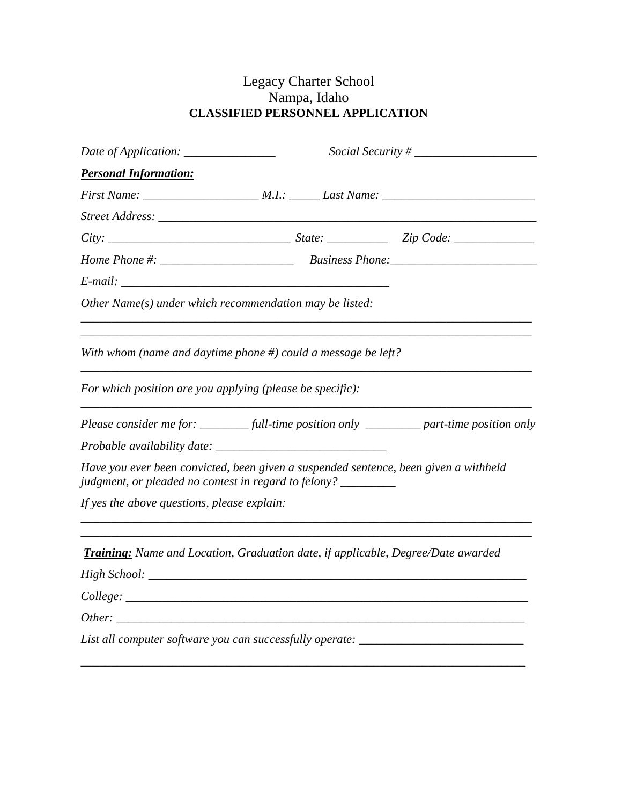## Legacy Charter School Nampa, Idaho **CLASSIFIED PERSONNEL APPLICATION**

| Date of Application: _________________                                                                                                                 | Social Security # |  |
|--------------------------------------------------------------------------------------------------------------------------------------------------------|-------------------|--|
| <b>Personal Information:</b>                                                                                                                           |                   |  |
|                                                                                                                                                        |                   |  |
|                                                                                                                                                        |                   |  |
|                                                                                                                                                        |                   |  |
|                                                                                                                                                        |                   |  |
|                                                                                                                                                        |                   |  |
| Other Name(s) under which recommendation may be listed:                                                                                                |                   |  |
| With whom (name and daytime phone $#$ ) could a message be left?                                                                                       |                   |  |
| For which position are you applying (please be specific):                                                                                              |                   |  |
| Please consider me for: ___________ full-time position only ___________ part-time position only                                                        |                   |  |
|                                                                                                                                                        |                   |  |
| Have you ever been convicted, been given a suspended sentence, been given a withheld<br>judgment, or pleaded no contest in regard to felony? _________ |                   |  |
| If yes the above questions, please explain:                                                                                                            |                   |  |
| <b>Training:</b> Name and Location, Graduation date, if applicable, Degree/Date awarded                                                                |                   |  |
|                                                                                                                                                        |                   |  |
|                                                                                                                                                        |                   |  |
|                                                                                                                                                        |                   |  |
| List all computer software you can successfully operate: _______________________                                                                       |                   |  |

*\_\_\_\_\_\_\_\_\_\_\_\_\_\_\_\_\_\_\_\_\_\_\_\_\_\_\_\_\_\_\_\_\_\_\_\_\_\_\_\_\_\_\_\_\_\_\_\_\_\_\_\_\_\_\_\_\_\_\_\_\_\_\_\_\_\_\_\_\_\_\_\_\_*